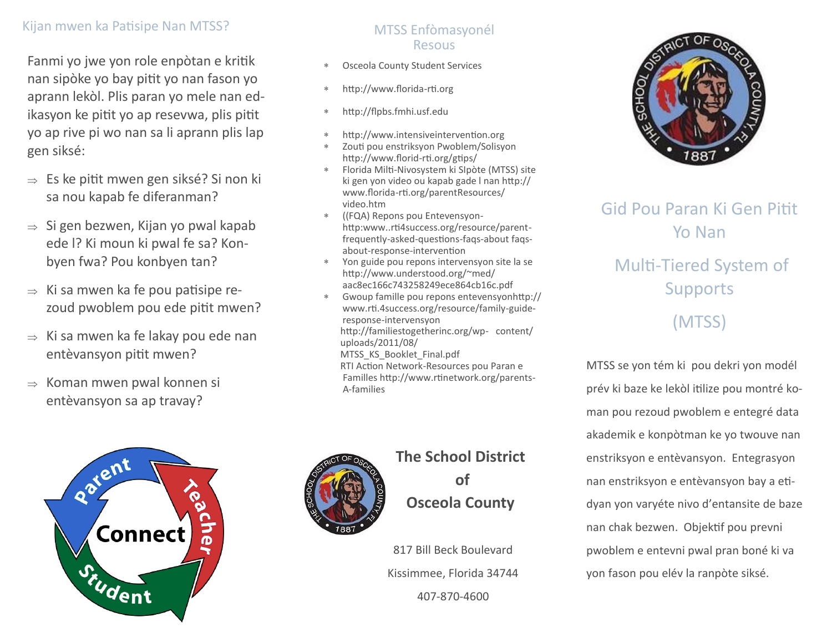### Kijan mwen ka Patisipe Nan MTSS?

Fanmi yo jwe yon role enpòtan e kritik nan sipòke yo bay pitit yo nan fason yo aprann lekòl. Plis paran yo mele nan edikasyon ke pitit yo ap resevwa, plis pitit yo ap rive pi wo nan sa li aprann plis lap gen siksé:

- $\Rightarrow$  Es ke pitit mwen gen siksé? Si non ki sa nou kapab fe diferanman?
- $\Rightarrow$  Si gen bezwen, Kijan yo pwal kapab ede l? Ki moun ki pwal fe sa? Konbyen fwa? Pou konbyen tan?
- $\Rightarrow$  Ki sa mwen ka fe pou patisipe rezoud pwoblem pou ede pitit mwen?
- $\Rightarrow$  Ki sa mwen ka fe lakay pou ede nan entèvansyon pitit mwen?
- $\Rightarrow$  Koman mwen pwal konnen si entèvansyon sa ap travay?



#### MTSS Enfòmasyonél Resous

- Osceola County Student Services
- http://www.florida-rti.org
- http://flpbs.fmhi.usf.edu
- http://www.intensiveintervention.org
- Zouti pou enstriksyon Pwoblem/Solisyon http://www.florid-rti.org/gtips/
- Florida Milti-Nivosystem ki SIpòte (MTSS) site ki gen yon video ou kapab gade l nan http:// www.florida-rti.org/parentResources/ video.htm
- ((FQA) Repons pou Entevensyonhttp:www..rti4success.org/resource/parentfrequently-asked-questions-faqs-about faqsabout-response-intervention
- Yon guide pou repons intervensyon site la se http://www.understood.org/~med/ aac8ec166c743258249ece864cb16c.pdf
- Gwoup famille pou repons entevensyonhttp:// www.rti.4success.org/resource/family-guideresponse-intervensyon http://familiestogetherinc.org/wp- content/ uploads/2011/08/ MTSS KS Booklet Final.pdf RTI Action Network-Resources pou Paran e Familles http://www.rtinetwork.org/parents- A-families



# **The School District**

**of Osceola County**

817 Bill Beck Boulevard Kissimmee, Florida 34744 407-870-4600



## Gid Pou Paran Ki Gen Pitit Yo Nan

# Multi-Tiered System of **Supports**

(MTSS)

MTSS se yon tém ki pou dekri yon modél prév ki baze ke lekòl itilize pou montré koman pou rezoud pwoblem e entegré data akademik e konpòtman ke yo twouve nan enstriksyon e entèvansyon. Entegrasyon nan enstriksyon e entèvansyon bay a etidyan yon varyéte nivo d'entansite de baze nan chak bezwen. Objektif pou prevni pwoblem e entevni pwal pran boné ki va yon fason pou elév la ranpòte siksé.